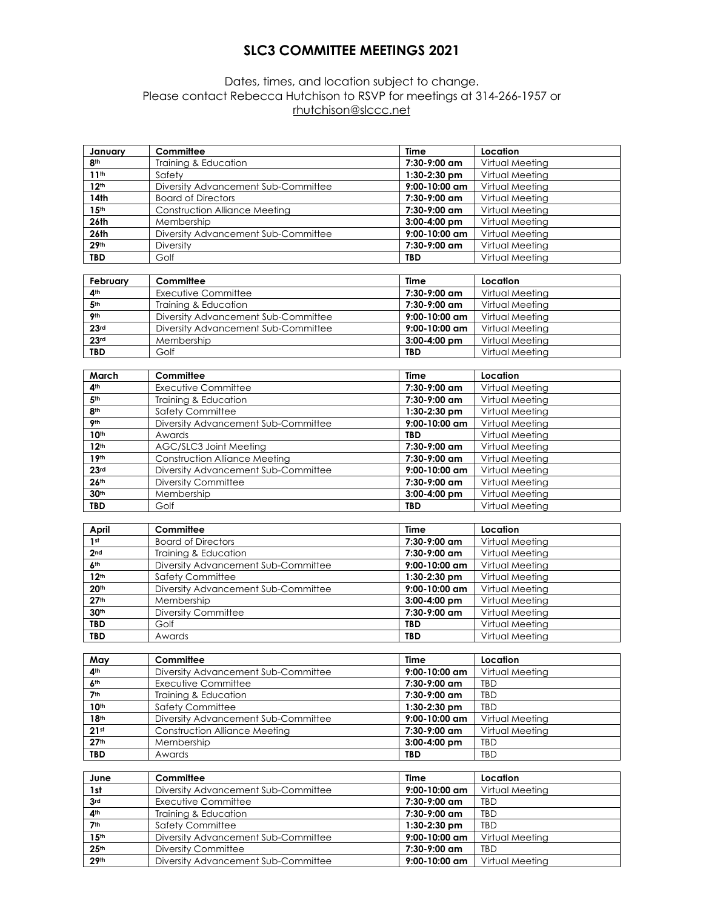## **SLC3 COMMITTEE MEETINGS 2021**

## Dates, times, and location subject to change. Please contact Rebecca Hutchison to RSVP for meetings at 314-266-1957 or rhutchison@slccc.net

| 8 <sup>th</sup><br>Training & Education<br>7:30-9:00 am<br>Virtual Meeting<br>11 <sup>th</sup><br>Virtual Meeting<br>Safety<br>1:30-2:30 pm<br>12 <sup>th</sup><br>Diversity Advancement Sub-Committee<br>9:00-10:00 am<br>Virtual Meeting<br>14th<br>7:30-9:00 am<br><b>Board of Directors</b><br>Virtual Meeting<br>15 <sup>th</sup><br><b>Construction Alliance Meeting</b><br>7:30-9:00 am<br>Virtual Meeting<br>26th<br>3:00-4:00 pm<br>Virtual Meeting<br>Membership<br>26th<br>9:00-10:00 am<br>Virtual Meeting<br>Diversity Advancement Sub-Committee<br>29 <sup>th</sup><br>7:30-9:00 am<br>Diversity<br>Virtual Meeting<br><b>TBD</b><br>Virtual Meeting<br>Golf<br><b>TBD</b><br>Committee<br>February<br><b>Time</b><br>Location<br><b>Executive Committee</b><br>7:30-9:00 am<br>Virtual Meeting<br>4 <sup>th</sup><br>5 <sup>th</sup><br>7:30-9:00 am<br>Virtual Meeting<br>Training & Education<br>9 <sub>th</sub><br>Diversity Advancement Sub-Committee<br>$9:00 - 10:00$ am<br>Virtual Meeting<br>23 <sub>rd</sub><br>Diversity Advancement Sub-Committee<br>9:00-10:00 am<br>Virtual Meeting<br>23 <sup>rd</sup><br>3:00-4:00 pm<br>Virtual Meeting<br>Membership<br>Virtual Meeting<br><b>TBD</b><br>Golf<br><b>TBD</b><br>Committee<br>March<br>Location<br>Time<br>4 <sup>th</sup><br><b>Executive Committee</b><br>7:30-9:00 am<br>Virtual Meeting<br>5 <sup>th</sup><br>Training & Education<br>7:30-9:00 am<br>Virtual Meeting<br>8 <sup>th</sup><br>Safety Committee<br>1:30-2:30 pm<br>Virtual Meeting<br>9 <sub>th</sub><br>9:00-10:00 am<br>Virtual Meeting<br>Diversity Advancement Sub-Committee<br>10 <sup>th</sup><br>Awards<br><b>TBD</b><br>Virtual Meeting<br>12 <sup>th</sup><br>AGC/SLC3 Joint Meeting<br>7:30-9:00 am<br>Virtual Meeting<br>19 <sup>th</sup><br><b>Construction Alliance Meeting</b><br>7:30-9:00 am<br>Virtual Meeting<br>23 <sup>rd</sup><br>9:00-10:00 am<br>Virtual Meeting<br>Diversity Advancement Sub-Committee<br>Diversity Committee<br>7:30-9:00 am<br>Virtual Meeting<br>26 <sup>th</sup><br>30 <sup>th</sup><br>Membership<br>3:00-4:00 pm<br>Virtual Meeting<br><b>TBD</b><br>Golf<br><b>TBD</b><br>Virtual Meeting<br>Committee<br>Location<br><b>Time</b><br>April<br>1 <sup>st</sup><br><b>Board of Directors</b><br>7:30-9:00 am<br>Virtual Meeting<br>2 <sub>nd</sub><br>Virtual Meeting<br>Training & Education<br>7:30-9:00 am<br>6 <sup>th</sup><br>Diversity Advancement Sub-Committee<br>9:00-10:00 am<br>Virtual Meeting<br>12 <sup>th</sup><br>Safety Committee<br>1:30-2:30 pm<br>Virtual Meeting<br>20 <sup>th</sup><br>Diversity Advancement Sub-Committee<br>9:00-10:00 am<br>Virtual Meeting<br>27 <sup>th</sup><br>$M$ embership<br>3:00-4:00 pm<br>Virtual Meeting<br>30 <sup>th</sup><br>7:30-9:00 am<br><b>Diversity Committee</b><br>Virtual Meeting<br>Golf<br><b>TBD</b><br><b>TBD</b><br>Virtual Meeting<br><b>TBD</b><br>Awards<br><b>TBD</b><br>Virtual Meeting<br>May<br>Time<br>Location<br>Committee<br>4 <sup>th</sup><br>Diversity Advancement Sub-Committee<br>$9:00 - 10:00$ am<br>Virtual Meeting<br>6 <sup>th</sup><br>7:30-9:00 am<br>Executive Committee<br>TBD<br>7 <sup>th</sup><br>7:30-9:00 am<br>TBD<br>Training & Education<br>10 <sup>th</sup><br>1:30-2:30 pm<br>TBD<br><b>Safety Committee</b><br>18 <sup>th</sup><br>Diversity Advancement Sub-Committee<br>9:00-10:00 am<br>Virtual Meeting<br>21 <sup>st</sup><br>Construction Alliance Meeting<br>7:30-9:00 am<br>Virtual Meeting<br>27 <sup>th</sup><br>Membership<br>3:00-4:00 pm<br>TBD<br><b>TBD</b><br>TBD<br>Awards<br>TBD<br>Committee<br>Time<br>Location<br>June<br>Virtual Meeting<br>Diversity Advancement Sub-Committee<br>9:00-10:00 am<br>1st<br>3 <sub>rd</sub><br><b>Executive Committee</b><br>7:30-9:00 am<br>TBD<br>4 <sup>th</sup><br>Training & Education<br>7:30-9:00 am<br>TBD<br>7 <sup>th</sup><br>Safety Committee<br>TBD<br>1:30-2:30 pm<br>15 <sup>th</sup><br>9:00-10:00 am<br>Virtual Meeting<br>Diversity Advancement Sub-Committee<br>25 <sup>th</sup><br><b>Diversity Committee</b><br>7:30-9:00 am<br>TBD<br>Virtual Meeting<br>29th<br>Diversity Advancement Sub-Committee<br>9:00-10:00 am | January | Committee | <b>Time</b> | Location |
|-------------------------------------------------------------------------------------------------------------------------------------------------------------------------------------------------------------------------------------------------------------------------------------------------------------------------------------------------------------------------------------------------------------------------------------------------------------------------------------------------------------------------------------------------------------------------------------------------------------------------------------------------------------------------------------------------------------------------------------------------------------------------------------------------------------------------------------------------------------------------------------------------------------------------------------------------------------------------------------------------------------------------------------------------------------------------------------------------------------------------------------------------------------------------------------------------------------------------------------------------------------------------------------------------------------------------------------------------------------------------------------------------------------------------------------------------------------------------------------------------------------------------------------------------------------------------------------------------------------------------------------------------------------------------------------------------------------------------------------------------------------------------------------------------------------------------------------------------------------------------------------------------------------------------------------------------------------------------------------------------------------------------------------------------------------------------------------------------------------------------------------------------------------------------------------------------------------------------------------------------------------------------------------------------------------------------------------------------------------------------------------------------------------------------------------------------------------------------------------------------------------------------------------------------------------------------------------------------------------------------------------------------------------------------------------------------------------------------------------------------------------------------------------------------------------------------------------------------------------------------------------------------------------------------------------------------------------------------------------------------------------------------------------------------------------------------------------------------------------------------------------------------------------------------------------------------------------------------------------------------------------------------------------------------------------------------------------------------------------------------------------------------------------------------------------------------------------------------------------------------------------------------------------------------------------------------------------------------------------------------------------------------------------------------------------------------------------------------------------------------------------------------------------------------------------------------------------------------------------------------------------------------------------------------------------------------------------------------------------------------------------------------------------------------------------------------------------------------------------------------------------------------------------------------------------------------------|---------|-----------|-------------|----------|
|                                                                                                                                                                                                                                                                                                                                                                                                                                                                                                                                                                                                                                                                                                                                                                                                                                                                                                                                                                                                                                                                                                                                                                                                                                                                                                                                                                                                                                                                                                                                                                                                                                                                                                                                                                                                                                                                                                                                                                                                                                                                                                                                                                                                                                                                                                                                                                                                                                                                                                                                                                                                                                                                                                                                                                                                                                                                                                                                                                                                                                                                                                                                                                                                                                                                                                                                                                                                                                                                                                                                                                                                                                                                                                                                                                                                                                                                                                                                                                                                                                                                                                                                                                                                       |         |           |             |          |
|                                                                                                                                                                                                                                                                                                                                                                                                                                                                                                                                                                                                                                                                                                                                                                                                                                                                                                                                                                                                                                                                                                                                                                                                                                                                                                                                                                                                                                                                                                                                                                                                                                                                                                                                                                                                                                                                                                                                                                                                                                                                                                                                                                                                                                                                                                                                                                                                                                                                                                                                                                                                                                                                                                                                                                                                                                                                                                                                                                                                                                                                                                                                                                                                                                                                                                                                                                                                                                                                                                                                                                                                                                                                                                                                                                                                                                                                                                                                                                                                                                                                                                                                                                                                       |         |           |             |          |
|                                                                                                                                                                                                                                                                                                                                                                                                                                                                                                                                                                                                                                                                                                                                                                                                                                                                                                                                                                                                                                                                                                                                                                                                                                                                                                                                                                                                                                                                                                                                                                                                                                                                                                                                                                                                                                                                                                                                                                                                                                                                                                                                                                                                                                                                                                                                                                                                                                                                                                                                                                                                                                                                                                                                                                                                                                                                                                                                                                                                                                                                                                                                                                                                                                                                                                                                                                                                                                                                                                                                                                                                                                                                                                                                                                                                                                                                                                                                                                                                                                                                                                                                                                                                       |         |           |             |          |
|                                                                                                                                                                                                                                                                                                                                                                                                                                                                                                                                                                                                                                                                                                                                                                                                                                                                                                                                                                                                                                                                                                                                                                                                                                                                                                                                                                                                                                                                                                                                                                                                                                                                                                                                                                                                                                                                                                                                                                                                                                                                                                                                                                                                                                                                                                                                                                                                                                                                                                                                                                                                                                                                                                                                                                                                                                                                                                                                                                                                                                                                                                                                                                                                                                                                                                                                                                                                                                                                                                                                                                                                                                                                                                                                                                                                                                                                                                                                                                                                                                                                                                                                                                                                       |         |           |             |          |
|                                                                                                                                                                                                                                                                                                                                                                                                                                                                                                                                                                                                                                                                                                                                                                                                                                                                                                                                                                                                                                                                                                                                                                                                                                                                                                                                                                                                                                                                                                                                                                                                                                                                                                                                                                                                                                                                                                                                                                                                                                                                                                                                                                                                                                                                                                                                                                                                                                                                                                                                                                                                                                                                                                                                                                                                                                                                                                                                                                                                                                                                                                                                                                                                                                                                                                                                                                                                                                                                                                                                                                                                                                                                                                                                                                                                                                                                                                                                                                                                                                                                                                                                                                                                       |         |           |             |          |
|                                                                                                                                                                                                                                                                                                                                                                                                                                                                                                                                                                                                                                                                                                                                                                                                                                                                                                                                                                                                                                                                                                                                                                                                                                                                                                                                                                                                                                                                                                                                                                                                                                                                                                                                                                                                                                                                                                                                                                                                                                                                                                                                                                                                                                                                                                                                                                                                                                                                                                                                                                                                                                                                                                                                                                                                                                                                                                                                                                                                                                                                                                                                                                                                                                                                                                                                                                                                                                                                                                                                                                                                                                                                                                                                                                                                                                                                                                                                                                                                                                                                                                                                                                                                       |         |           |             |          |
|                                                                                                                                                                                                                                                                                                                                                                                                                                                                                                                                                                                                                                                                                                                                                                                                                                                                                                                                                                                                                                                                                                                                                                                                                                                                                                                                                                                                                                                                                                                                                                                                                                                                                                                                                                                                                                                                                                                                                                                                                                                                                                                                                                                                                                                                                                                                                                                                                                                                                                                                                                                                                                                                                                                                                                                                                                                                                                                                                                                                                                                                                                                                                                                                                                                                                                                                                                                                                                                                                                                                                                                                                                                                                                                                                                                                                                                                                                                                                                                                                                                                                                                                                                                                       |         |           |             |          |
|                                                                                                                                                                                                                                                                                                                                                                                                                                                                                                                                                                                                                                                                                                                                                                                                                                                                                                                                                                                                                                                                                                                                                                                                                                                                                                                                                                                                                                                                                                                                                                                                                                                                                                                                                                                                                                                                                                                                                                                                                                                                                                                                                                                                                                                                                                                                                                                                                                                                                                                                                                                                                                                                                                                                                                                                                                                                                                                                                                                                                                                                                                                                                                                                                                                                                                                                                                                                                                                                                                                                                                                                                                                                                                                                                                                                                                                                                                                                                                                                                                                                                                                                                                                                       |         |           |             |          |
|                                                                                                                                                                                                                                                                                                                                                                                                                                                                                                                                                                                                                                                                                                                                                                                                                                                                                                                                                                                                                                                                                                                                                                                                                                                                                                                                                                                                                                                                                                                                                                                                                                                                                                                                                                                                                                                                                                                                                                                                                                                                                                                                                                                                                                                                                                                                                                                                                                                                                                                                                                                                                                                                                                                                                                                                                                                                                                                                                                                                                                                                                                                                                                                                                                                                                                                                                                                                                                                                                                                                                                                                                                                                                                                                                                                                                                                                                                                                                                                                                                                                                                                                                                                                       |         |           |             |          |
|                                                                                                                                                                                                                                                                                                                                                                                                                                                                                                                                                                                                                                                                                                                                                                                                                                                                                                                                                                                                                                                                                                                                                                                                                                                                                                                                                                                                                                                                                                                                                                                                                                                                                                                                                                                                                                                                                                                                                                                                                                                                                                                                                                                                                                                                                                                                                                                                                                                                                                                                                                                                                                                                                                                                                                                                                                                                                                                                                                                                                                                                                                                                                                                                                                                                                                                                                                                                                                                                                                                                                                                                                                                                                                                                                                                                                                                                                                                                                                                                                                                                                                                                                                                                       |         |           |             |          |
|                                                                                                                                                                                                                                                                                                                                                                                                                                                                                                                                                                                                                                                                                                                                                                                                                                                                                                                                                                                                                                                                                                                                                                                                                                                                                                                                                                                                                                                                                                                                                                                                                                                                                                                                                                                                                                                                                                                                                                                                                                                                                                                                                                                                                                                                                                                                                                                                                                                                                                                                                                                                                                                                                                                                                                                                                                                                                                                                                                                                                                                                                                                                                                                                                                                                                                                                                                                                                                                                                                                                                                                                                                                                                                                                                                                                                                                                                                                                                                                                                                                                                                                                                                                                       |         |           |             |          |
|                                                                                                                                                                                                                                                                                                                                                                                                                                                                                                                                                                                                                                                                                                                                                                                                                                                                                                                                                                                                                                                                                                                                                                                                                                                                                                                                                                                                                                                                                                                                                                                                                                                                                                                                                                                                                                                                                                                                                                                                                                                                                                                                                                                                                                                                                                                                                                                                                                                                                                                                                                                                                                                                                                                                                                                                                                                                                                                                                                                                                                                                                                                                                                                                                                                                                                                                                                                                                                                                                                                                                                                                                                                                                                                                                                                                                                                                                                                                                                                                                                                                                                                                                                                                       |         |           |             |          |
|                                                                                                                                                                                                                                                                                                                                                                                                                                                                                                                                                                                                                                                                                                                                                                                                                                                                                                                                                                                                                                                                                                                                                                                                                                                                                                                                                                                                                                                                                                                                                                                                                                                                                                                                                                                                                                                                                                                                                                                                                                                                                                                                                                                                                                                                                                                                                                                                                                                                                                                                                                                                                                                                                                                                                                                                                                                                                                                                                                                                                                                                                                                                                                                                                                                                                                                                                                                                                                                                                                                                                                                                                                                                                                                                                                                                                                                                                                                                                                                                                                                                                                                                                                                                       |         |           |             |          |
|                                                                                                                                                                                                                                                                                                                                                                                                                                                                                                                                                                                                                                                                                                                                                                                                                                                                                                                                                                                                                                                                                                                                                                                                                                                                                                                                                                                                                                                                                                                                                                                                                                                                                                                                                                                                                                                                                                                                                                                                                                                                                                                                                                                                                                                                                                                                                                                                                                                                                                                                                                                                                                                                                                                                                                                                                                                                                                                                                                                                                                                                                                                                                                                                                                                                                                                                                                                                                                                                                                                                                                                                                                                                                                                                                                                                                                                                                                                                                                                                                                                                                                                                                                                                       |         |           |             |          |
|                                                                                                                                                                                                                                                                                                                                                                                                                                                                                                                                                                                                                                                                                                                                                                                                                                                                                                                                                                                                                                                                                                                                                                                                                                                                                                                                                                                                                                                                                                                                                                                                                                                                                                                                                                                                                                                                                                                                                                                                                                                                                                                                                                                                                                                                                                                                                                                                                                                                                                                                                                                                                                                                                                                                                                                                                                                                                                                                                                                                                                                                                                                                                                                                                                                                                                                                                                                                                                                                                                                                                                                                                                                                                                                                                                                                                                                                                                                                                                                                                                                                                                                                                                                                       |         |           |             |          |
|                                                                                                                                                                                                                                                                                                                                                                                                                                                                                                                                                                                                                                                                                                                                                                                                                                                                                                                                                                                                                                                                                                                                                                                                                                                                                                                                                                                                                                                                                                                                                                                                                                                                                                                                                                                                                                                                                                                                                                                                                                                                                                                                                                                                                                                                                                                                                                                                                                                                                                                                                                                                                                                                                                                                                                                                                                                                                                                                                                                                                                                                                                                                                                                                                                                                                                                                                                                                                                                                                                                                                                                                                                                                                                                                                                                                                                                                                                                                                                                                                                                                                                                                                                                                       |         |           |             |          |
|                                                                                                                                                                                                                                                                                                                                                                                                                                                                                                                                                                                                                                                                                                                                                                                                                                                                                                                                                                                                                                                                                                                                                                                                                                                                                                                                                                                                                                                                                                                                                                                                                                                                                                                                                                                                                                                                                                                                                                                                                                                                                                                                                                                                                                                                                                                                                                                                                                                                                                                                                                                                                                                                                                                                                                                                                                                                                                                                                                                                                                                                                                                                                                                                                                                                                                                                                                                                                                                                                                                                                                                                                                                                                                                                                                                                                                                                                                                                                                                                                                                                                                                                                                                                       |         |           |             |          |
|                                                                                                                                                                                                                                                                                                                                                                                                                                                                                                                                                                                                                                                                                                                                                                                                                                                                                                                                                                                                                                                                                                                                                                                                                                                                                                                                                                                                                                                                                                                                                                                                                                                                                                                                                                                                                                                                                                                                                                                                                                                                                                                                                                                                                                                                                                                                                                                                                                                                                                                                                                                                                                                                                                                                                                                                                                                                                                                                                                                                                                                                                                                                                                                                                                                                                                                                                                                                                                                                                                                                                                                                                                                                                                                                                                                                                                                                                                                                                                                                                                                                                                                                                                                                       |         |           |             |          |
|                                                                                                                                                                                                                                                                                                                                                                                                                                                                                                                                                                                                                                                                                                                                                                                                                                                                                                                                                                                                                                                                                                                                                                                                                                                                                                                                                                                                                                                                                                                                                                                                                                                                                                                                                                                                                                                                                                                                                                                                                                                                                                                                                                                                                                                                                                                                                                                                                                                                                                                                                                                                                                                                                                                                                                                                                                                                                                                                                                                                                                                                                                                                                                                                                                                                                                                                                                                                                                                                                                                                                                                                                                                                                                                                                                                                                                                                                                                                                                                                                                                                                                                                                                                                       |         |           |             |          |
|                                                                                                                                                                                                                                                                                                                                                                                                                                                                                                                                                                                                                                                                                                                                                                                                                                                                                                                                                                                                                                                                                                                                                                                                                                                                                                                                                                                                                                                                                                                                                                                                                                                                                                                                                                                                                                                                                                                                                                                                                                                                                                                                                                                                                                                                                                                                                                                                                                                                                                                                                                                                                                                                                                                                                                                                                                                                                                                                                                                                                                                                                                                                                                                                                                                                                                                                                                                                                                                                                                                                                                                                                                                                                                                                                                                                                                                                                                                                                                                                                                                                                                                                                                                                       |         |           |             |          |
|                                                                                                                                                                                                                                                                                                                                                                                                                                                                                                                                                                                                                                                                                                                                                                                                                                                                                                                                                                                                                                                                                                                                                                                                                                                                                                                                                                                                                                                                                                                                                                                                                                                                                                                                                                                                                                                                                                                                                                                                                                                                                                                                                                                                                                                                                                                                                                                                                                                                                                                                                                                                                                                                                                                                                                                                                                                                                                                                                                                                                                                                                                                                                                                                                                                                                                                                                                                                                                                                                                                                                                                                                                                                                                                                                                                                                                                                                                                                                                                                                                                                                                                                                                                                       |         |           |             |          |
|                                                                                                                                                                                                                                                                                                                                                                                                                                                                                                                                                                                                                                                                                                                                                                                                                                                                                                                                                                                                                                                                                                                                                                                                                                                                                                                                                                                                                                                                                                                                                                                                                                                                                                                                                                                                                                                                                                                                                                                                                                                                                                                                                                                                                                                                                                                                                                                                                                                                                                                                                                                                                                                                                                                                                                                                                                                                                                                                                                                                                                                                                                                                                                                                                                                                                                                                                                                                                                                                                                                                                                                                                                                                                                                                                                                                                                                                                                                                                                                                                                                                                                                                                                                                       |         |           |             |          |
|                                                                                                                                                                                                                                                                                                                                                                                                                                                                                                                                                                                                                                                                                                                                                                                                                                                                                                                                                                                                                                                                                                                                                                                                                                                                                                                                                                                                                                                                                                                                                                                                                                                                                                                                                                                                                                                                                                                                                                                                                                                                                                                                                                                                                                                                                                                                                                                                                                                                                                                                                                                                                                                                                                                                                                                                                                                                                                                                                                                                                                                                                                                                                                                                                                                                                                                                                                                                                                                                                                                                                                                                                                                                                                                                                                                                                                                                                                                                                                                                                                                                                                                                                                                                       |         |           |             |          |
|                                                                                                                                                                                                                                                                                                                                                                                                                                                                                                                                                                                                                                                                                                                                                                                                                                                                                                                                                                                                                                                                                                                                                                                                                                                                                                                                                                                                                                                                                                                                                                                                                                                                                                                                                                                                                                                                                                                                                                                                                                                                                                                                                                                                                                                                                                                                                                                                                                                                                                                                                                                                                                                                                                                                                                                                                                                                                                                                                                                                                                                                                                                                                                                                                                                                                                                                                                                                                                                                                                                                                                                                                                                                                                                                                                                                                                                                                                                                                                                                                                                                                                                                                                                                       |         |           |             |          |
|                                                                                                                                                                                                                                                                                                                                                                                                                                                                                                                                                                                                                                                                                                                                                                                                                                                                                                                                                                                                                                                                                                                                                                                                                                                                                                                                                                                                                                                                                                                                                                                                                                                                                                                                                                                                                                                                                                                                                                                                                                                                                                                                                                                                                                                                                                                                                                                                                                                                                                                                                                                                                                                                                                                                                                                                                                                                                                                                                                                                                                                                                                                                                                                                                                                                                                                                                                                                                                                                                                                                                                                                                                                                                                                                                                                                                                                                                                                                                                                                                                                                                                                                                                                                       |         |           |             |          |
|                                                                                                                                                                                                                                                                                                                                                                                                                                                                                                                                                                                                                                                                                                                                                                                                                                                                                                                                                                                                                                                                                                                                                                                                                                                                                                                                                                                                                                                                                                                                                                                                                                                                                                                                                                                                                                                                                                                                                                                                                                                                                                                                                                                                                                                                                                                                                                                                                                                                                                                                                                                                                                                                                                                                                                                                                                                                                                                                                                                                                                                                                                                                                                                                                                                                                                                                                                                                                                                                                                                                                                                                                                                                                                                                                                                                                                                                                                                                                                                                                                                                                                                                                                                                       |         |           |             |          |
|                                                                                                                                                                                                                                                                                                                                                                                                                                                                                                                                                                                                                                                                                                                                                                                                                                                                                                                                                                                                                                                                                                                                                                                                                                                                                                                                                                                                                                                                                                                                                                                                                                                                                                                                                                                                                                                                                                                                                                                                                                                                                                                                                                                                                                                                                                                                                                                                                                                                                                                                                                                                                                                                                                                                                                                                                                                                                                                                                                                                                                                                                                                                                                                                                                                                                                                                                                                                                                                                                                                                                                                                                                                                                                                                                                                                                                                                                                                                                                                                                                                                                                                                                                                                       |         |           |             |          |
|                                                                                                                                                                                                                                                                                                                                                                                                                                                                                                                                                                                                                                                                                                                                                                                                                                                                                                                                                                                                                                                                                                                                                                                                                                                                                                                                                                                                                                                                                                                                                                                                                                                                                                                                                                                                                                                                                                                                                                                                                                                                                                                                                                                                                                                                                                                                                                                                                                                                                                                                                                                                                                                                                                                                                                                                                                                                                                                                                                                                                                                                                                                                                                                                                                                                                                                                                                                                                                                                                                                                                                                                                                                                                                                                                                                                                                                                                                                                                                                                                                                                                                                                                                                                       |         |           |             |          |
|                                                                                                                                                                                                                                                                                                                                                                                                                                                                                                                                                                                                                                                                                                                                                                                                                                                                                                                                                                                                                                                                                                                                                                                                                                                                                                                                                                                                                                                                                                                                                                                                                                                                                                                                                                                                                                                                                                                                                                                                                                                                                                                                                                                                                                                                                                                                                                                                                                                                                                                                                                                                                                                                                                                                                                                                                                                                                                                                                                                                                                                                                                                                                                                                                                                                                                                                                                                                                                                                                                                                                                                                                                                                                                                                                                                                                                                                                                                                                                                                                                                                                                                                                                                                       |         |           |             |          |
|                                                                                                                                                                                                                                                                                                                                                                                                                                                                                                                                                                                                                                                                                                                                                                                                                                                                                                                                                                                                                                                                                                                                                                                                                                                                                                                                                                                                                                                                                                                                                                                                                                                                                                                                                                                                                                                                                                                                                                                                                                                                                                                                                                                                                                                                                                                                                                                                                                                                                                                                                                                                                                                                                                                                                                                                                                                                                                                                                                                                                                                                                                                                                                                                                                                                                                                                                                                                                                                                                                                                                                                                                                                                                                                                                                                                                                                                                                                                                                                                                                                                                                                                                                                                       |         |           |             |          |
|                                                                                                                                                                                                                                                                                                                                                                                                                                                                                                                                                                                                                                                                                                                                                                                                                                                                                                                                                                                                                                                                                                                                                                                                                                                                                                                                                                                                                                                                                                                                                                                                                                                                                                                                                                                                                                                                                                                                                                                                                                                                                                                                                                                                                                                                                                                                                                                                                                                                                                                                                                                                                                                                                                                                                                                                                                                                                                                                                                                                                                                                                                                                                                                                                                                                                                                                                                                                                                                                                                                                                                                                                                                                                                                                                                                                                                                                                                                                                                                                                                                                                                                                                                                                       |         |           |             |          |
|                                                                                                                                                                                                                                                                                                                                                                                                                                                                                                                                                                                                                                                                                                                                                                                                                                                                                                                                                                                                                                                                                                                                                                                                                                                                                                                                                                                                                                                                                                                                                                                                                                                                                                                                                                                                                                                                                                                                                                                                                                                                                                                                                                                                                                                                                                                                                                                                                                                                                                                                                                                                                                                                                                                                                                                                                                                                                                                                                                                                                                                                                                                                                                                                                                                                                                                                                                                                                                                                                                                                                                                                                                                                                                                                                                                                                                                                                                                                                                                                                                                                                                                                                                                                       |         |           |             |          |
|                                                                                                                                                                                                                                                                                                                                                                                                                                                                                                                                                                                                                                                                                                                                                                                                                                                                                                                                                                                                                                                                                                                                                                                                                                                                                                                                                                                                                                                                                                                                                                                                                                                                                                                                                                                                                                                                                                                                                                                                                                                                                                                                                                                                                                                                                                                                                                                                                                                                                                                                                                                                                                                                                                                                                                                                                                                                                                                                                                                                                                                                                                                                                                                                                                                                                                                                                                                                                                                                                                                                                                                                                                                                                                                                                                                                                                                                                                                                                                                                                                                                                                                                                                                                       |         |           |             |          |
|                                                                                                                                                                                                                                                                                                                                                                                                                                                                                                                                                                                                                                                                                                                                                                                                                                                                                                                                                                                                                                                                                                                                                                                                                                                                                                                                                                                                                                                                                                                                                                                                                                                                                                                                                                                                                                                                                                                                                                                                                                                                                                                                                                                                                                                                                                                                                                                                                                                                                                                                                                                                                                                                                                                                                                                                                                                                                                                                                                                                                                                                                                                                                                                                                                                                                                                                                                                                                                                                                                                                                                                                                                                                                                                                                                                                                                                                                                                                                                                                                                                                                                                                                                                                       |         |           |             |          |
|                                                                                                                                                                                                                                                                                                                                                                                                                                                                                                                                                                                                                                                                                                                                                                                                                                                                                                                                                                                                                                                                                                                                                                                                                                                                                                                                                                                                                                                                                                                                                                                                                                                                                                                                                                                                                                                                                                                                                                                                                                                                                                                                                                                                                                                                                                                                                                                                                                                                                                                                                                                                                                                                                                                                                                                                                                                                                                                                                                                                                                                                                                                                                                                                                                                                                                                                                                                                                                                                                                                                                                                                                                                                                                                                                                                                                                                                                                                                                                                                                                                                                                                                                                                                       |         |           |             |          |
|                                                                                                                                                                                                                                                                                                                                                                                                                                                                                                                                                                                                                                                                                                                                                                                                                                                                                                                                                                                                                                                                                                                                                                                                                                                                                                                                                                                                                                                                                                                                                                                                                                                                                                                                                                                                                                                                                                                                                                                                                                                                                                                                                                                                                                                                                                                                                                                                                                                                                                                                                                                                                                                                                                                                                                                                                                                                                                                                                                                                                                                                                                                                                                                                                                                                                                                                                                                                                                                                                                                                                                                                                                                                                                                                                                                                                                                                                                                                                                                                                                                                                                                                                                                                       |         |           |             |          |
|                                                                                                                                                                                                                                                                                                                                                                                                                                                                                                                                                                                                                                                                                                                                                                                                                                                                                                                                                                                                                                                                                                                                                                                                                                                                                                                                                                                                                                                                                                                                                                                                                                                                                                                                                                                                                                                                                                                                                                                                                                                                                                                                                                                                                                                                                                                                                                                                                                                                                                                                                                                                                                                                                                                                                                                                                                                                                                                                                                                                                                                                                                                                                                                                                                                                                                                                                                                                                                                                                                                                                                                                                                                                                                                                                                                                                                                                                                                                                                                                                                                                                                                                                                                                       |         |           |             |          |
|                                                                                                                                                                                                                                                                                                                                                                                                                                                                                                                                                                                                                                                                                                                                                                                                                                                                                                                                                                                                                                                                                                                                                                                                                                                                                                                                                                                                                                                                                                                                                                                                                                                                                                                                                                                                                                                                                                                                                                                                                                                                                                                                                                                                                                                                                                                                                                                                                                                                                                                                                                                                                                                                                                                                                                                                                                                                                                                                                                                                                                                                                                                                                                                                                                                                                                                                                                                                                                                                                                                                                                                                                                                                                                                                                                                                                                                                                                                                                                                                                                                                                                                                                                                                       |         |           |             |          |
|                                                                                                                                                                                                                                                                                                                                                                                                                                                                                                                                                                                                                                                                                                                                                                                                                                                                                                                                                                                                                                                                                                                                                                                                                                                                                                                                                                                                                                                                                                                                                                                                                                                                                                                                                                                                                                                                                                                                                                                                                                                                                                                                                                                                                                                                                                                                                                                                                                                                                                                                                                                                                                                                                                                                                                                                                                                                                                                                                                                                                                                                                                                                                                                                                                                                                                                                                                                                                                                                                                                                                                                                                                                                                                                                                                                                                                                                                                                                                                                                                                                                                                                                                                                                       |         |           |             |          |
|                                                                                                                                                                                                                                                                                                                                                                                                                                                                                                                                                                                                                                                                                                                                                                                                                                                                                                                                                                                                                                                                                                                                                                                                                                                                                                                                                                                                                                                                                                                                                                                                                                                                                                                                                                                                                                                                                                                                                                                                                                                                                                                                                                                                                                                                                                                                                                                                                                                                                                                                                                                                                                                                                                                                                                                                                                                                                                                                                                                                                                                                                                                                                                                                                                                                                                                                                                                                                                                                                                                                                                                                                                                                                                                                                                                                                                                                                                                                                                                                                                                                                                                                                                                                       |         |           |             |          |
|                                                                                                                                                                                                                                                                                                                                                                                                                                                                                                                                                                                                                                                                                                                                                                                                                                                                                                                                                                                                                                                                                                                                                                                                                                                                                                                                                                                                                                                                                                                                                                                                                                                                                                                                                                                                                                                                                                                                                                                                                                                                                                                                                                                                                                                                                                                                                                                                                                                                                                                                                                                                                                                                                                                                                                                                                                                                                                                                                                                                                                                                                                                                                                                                                                                                                                                                                                                                                                                                                                                                                                                                                                                                                                                                                                                                                                                                                                                                                                                                                                                                                                                                                                                                       |         |           |             |          |
|                                                                                                                                                                                                                                                                                                                                                                                                                                                                                                                                                                                                                                                                                                                                                                                                                                                                                                                                                                                                                                                                                                                                                                                                                                                                                                                                                                                                                                                                                                                                                                                                                                                                                                                                                                                                                                                                                                                                                                                                                                                                                                                                                                                                                                                                                                                                                                                                                                                                                                                                                                                                                                                                                                                                                                                                                                                                                                                                                                                                                                                                                                                                                                                                                                                                                                                                                                                                                                                                                                                                                                                                                                                                                                                                                                                                                                                                                                                                                                                                                                                                                                                                                                                                       |         |           |             |          |
|                                                                                                                                                                                                                                                                                                                                                                                                                                                                                                                                                                                                                                                                                                                                                                                                                                                                                                                                                                                                                                                                                                                                                                                                                                                                                                                                                                                                                                                                                                                                                                                                                                                                                                                                                                                                                                                                                                                                                                                                                                                                                                                                                                                                                                                                                                                                                                                                                                                                                                                                                                                                                                                                                                                                                                                                                                                                                                                                                                                                                                                                                                                                                                                                                                                                                                                                                                                                                                                                                                                                                                                                                                                                                                                                                                                                                                                                                                                                                                                                                                                                                                                                                                                                       |         |           |             |          |
|                                                                                                                                                                                                                                                                                                                                                                                                                                                                                                                                                                                                                                                                                                                                                                                                                                                                                                                                                                                                                                                                                                                                                                                                                                                                                                                                                                                                                                                                                                                                                                                                                                                                                                                                                                                                                                                                                                                                                                                                                                                                                                                                                                                                                                                                                                                                                                                                                                                                                                                                                                                                                                                                                                                                                                                                                                                                                                                                                                                                                                                                                                                                                                                                                                                                                                                                                                                                                                                                                                                                                                                                                                                                                                                                                                                                                                                                                                                                                                                                                                                                                                                                                                                                       |         |           |             |          |
|                                                                                                                                                                                                                                                                                                                                                                                                                                                                                                                                                                                                                                                                                                                                                                                                                                                                                                                                                                                                                                                                                                                                                                                                                                                                                                                                                                                                                                                                                                                                                                                                                                                                                                                                                                                                                                                                                                                                                                                                                                                                                                                                                                                                                                                                                                                                                                                                                                                                                                                                                                                                                                                                                                                                                                                                                                                                                                                                                                                                                                                                                                                                                                                                                                                                                                                                                                                                                                                                                                                                                                                                                                                                                                                                                                                                                                                                                                                                                                                                                                                                                                                                                                                                       |         |           |             |          |
|                                                                                                                                                                                                                                                                                                                                                                                                                                                                                                                                                                                                                                                                                                                                                                                                                                                                                                                                                                                                                                                                                                                                                                                                                                                                                                                                                                                                                                                                                                                                                                                                                                                                                                                                                                                                                                                                                                                                                                                                                                                                                                                                                                                                                                                                                                                                                                                                                                                                                                                                                                                                                                                                                                                                                                                                                                                                                                                                                                                                                                                                                                                                                                                                                                                                                                                                                                                                                                                                                                                                                                                                                                                                                                                                                                                                                                                                                                                                                                                                                                                                                                                                                                                                       |         |           |             |          |
|                                                                                                                                                                                                                                                                                                                                                                                                                                                                                                                                                                                                                                                                                                                                                                                                                                                                                                                                                                                                                                                                                                                                                                                                                                                                                                                                                                                                                                                                                                                                                                                                                                                                                                                                                                                                                                                                                                                                                                                                                                                                                                                                                                                                                                                                                                                                                                                                                                                                                                                                                                                                                                                                                                                                                                                                                                                                                                                                                                                                                                                                                                                                                                                                                                                                                                                                                                                                                                                                                                                                                                                                                                                                                                                                                                                                                                                                                                                                                                                                                                                                                                                                                                                                       |         |           |             |          |
|                                                                                                                                                                                                                                                                                                                                                                                                                                                                                                                                                                                                                                                                                                                                                                                                                                                                                                                                                                                                                                                                                                                                                                                                                                                                                                                                                                                                                                                                                                                                                                                                                                                                                                                                                                                                                                                                                                                                                                                                                                                                                                                                                                                                                                                                                                                                                                                                                                                                                                                                                                                                                                                                                                                                                                                                                                                                                                                                                                                                                                                                                                                                                                                                                                                                                                                                                                                                                                                                                                                                                                                                                                                                                                                                                                                                                                                                                                                                                                                                                                                                                                                                                                                                       |         |           |             |          |
|                                                                                                                                                                                                                                                                                                                                                                                                                                                                                                                                                                                                                                                                                                                                                                                                                                                                                                                                                                                                                                                                                                                                                                                                                                                                                                                                                                                                                                                                                                                                                                                                                                                                                                                                                                                                                                                                                                                                                                                                                                                                                                                                                                                                                                                                                                                                                                                                                                                                                                                                                                                                                                                                                                                                                                                                                                                                                                                                                                                                                                                                                                                                                                                                                                                                                                                                                                                                                                                                                                                                                                                                                                                                                                                                                                                                                                                                                                                                                                                                                                                                                                                                                                                                       |         |           |             |          |
|                                                                                                                                                                                                                                                                                                                                                                                                                                                                                                                                                                                                                                                                                                                                                                                                                                                                                                                                                                                                                                                                                                                                                                                                                                                                                                                                                                                                                                                                                                                                                                                                                                                                                                                                                                                                                                                                                                                                                                                                                                                                                                                                                                                                                                                                                                                                                                                                                                                                                                                                                                                                                                                                                                                                                                                                                                                                                                                                                                                                                                                                                                                                                                                                                                                                                                                                                                                                                                                                                                                                                                                                                                                                                                                                                                                                                                                                                                                                                                                                                                                                                                                                                                                                       |         |           |             |          |
|                                                                                                                                                                                                                                                                                                                                                                                                                                                                                                                                                                                                                                                                                                                                                                                                                                                                                                                                                                                                                                                                                                                                                                                                                                                                                                                                                                                                                                                                                                                                                                                                                                                                                                                                                                                                                                                                                                                                                                                                                                                                                                                                                                                                                                                                                                                                                                                                                                                                                                                                                                                                                                                                                                                                                                                                                                                                                                                                                                                                                                                                                                                                                                                                                                                                                                                                                                                                                                                                                                                                                                                                                                                                                                                                                                                                                                                                                                                                                                                                                                                                                                                                                                                                       |         |           |             |          |
|                                                                                                                                                                                                                                                                                                                                                                                                                                                                                                                                                                                                                                                                                                                                                                                                                                                                                                                                                                                                                                                                                                                                                                                                                                                                                                                                                                                                                                                                                                                                                                                                                                                                                                                                                                                                                                                                                                                                                                                                                                                                                                                                                                                                                                                                                                                                                                                                                                                                                                                                                                                                                                                                                                                                                                                                                                                                                                                                                                                                                                                                                                                                                                                                                                                                                                                                                                                                                                                                                                                                                                                                                                                                                                                                                                                                                                                                                                                                                                                                                                                                                                                                                                                                       |         |           |             |          |
|                                                                                                                                                                                                                                                                                                                                                                                                                                                                                                                                                                                                                                                                                                                                                                                                                                                                                                                                                                                                                                                                                                                                                                                                                                                                                                                                                                                                                                                                                                                                                                                                                                                                                                                                                                                                                                                                                                                                                                                                                                                                                                                                                                                                                                                                                                                                                                                                                                                                                                                                                                                                                                                                                                                                                                                                                                                                                                                                                                                                                                                                                                                                                                                                                                                                                                                                                                                                                                                                                                                                                                                                                                                                                                                                                                                                                                                                                                                                                                                                                                                                                                                                                                                                       |         |           |             |          |
|                                                                                                                                                                                                                                                                                                                                                                                                                                                                                                                                                                                                                                                                                                                                                                                                                                                                                                                                                                                                                                                                                                                                                                                                                                                                                                                                                                                                                                                                                                                                                                                                                                                                                                                                                                                                                                                                                                                                                                                                                                                                                                                                                                                                                                                                                                                                                                                                                                                                                                                                                                                                                                                                                                                                                                                                                                                                                                                                                                                                                                                                                                                                                                                                                                                                                                                                                                                                                                                                                                                                                                                                                                                                                                                                                                                                                                                                                                                                                                                                                                                                                                                                                                                                       |         |           |             |          |
|                                                                                                                                                                                                                                                                                                                                                                                                                                                                                                                                                                                                                                                                                                                                                                                                                                                                                                                                                                                                                                                                                                                                                                                                                                                                                                                                                                                                                                                                                                                                                                                                                                                                                                                                                                                                                                                                                                                                                                                                                                                                                                                                                                                                                                                                                                                                                                                                                                                                                                                                                                                                                                                                                                                                                                                                                                                                                                                                                                                                                                                                                                                                                                                                                                                                                                                                                                                                                                                                                                                                                                                                                                                                                                                                                                                                                                                                                                                                                                                                                                                                                                                                                                                                       |         |           |             |          |
|                                                                                                                                                                                                                                                                                                                                                                                                                                                                                                                                                                                                                                                                                                                                                                                                                                                                                                                                                                                                                                                                                                                                                                                                                                                                                                                                                                                                                                                                                                                                                                                                                                                                                                                                                                                                                                                                                                                                                                                                                                                                                                                                                                                                                                                                                                                                                                                                                                                                                                                                                                                                                                                                                                                                                                                                                                                                                                                                                                                                                                                                                                                                                                                                                                                                                                                                                                                                                                                                                                                                                                                                                                                                                                                                                                                                                                                                                                                                                                                                                                                                                                                                                                                                       |         |           |             |          |
|                                                                                                                                                                                                                                                                                                                                                                                                                                                                                                                                                                                                                                                                                                                                                                                                                                                                                                                                                                                                                                                                                                                                                                                                                                                                                                                                                                                                                                                                                                                                                                                                                                                                                                                                                                                                                                                                                                                                                                                                                                                                                                                                                                                                                                                                                                                                                                                                                                                                                                                                                                                                                                                                                                                                                                                                                                                                                                                                                                                                                                                                                                                                                                                                                                                                                                                                                                                                                                                                                                                                                                                                                                                                                                                                                                                                                                                                                                                                                                                                                                                                                                                                                                                                       |         |           |             |          |
|                                                                                                                                                                                                                                                                                                                                                                                                                                                                                                                                                                                                                                                                                                                                                                                                                                                                                                                                                                                                                                                                                                                                                                                                                                                                                                                                                                                                                                                                                                                                                                                                                                                                                                                                                                                                                                                                                                                                                                                                                                                                                                                                                                                                                                                                                                                                                                                                                                                                                                                                                                                                                                                                                                                                                                                                                                                                                                                                                                                                                                                                                                                                                                                                                                                                                                                                                                                                                                                                                                                                                                                                                                                                                                                                                                                                                                                                                                                                                                                                                                                                                                                                                                                                       |         |           |             |          |
|                                                                                                                                                                                                                                                                                                                                                                                                                                                                                                                                                                                                                                                                                                                                                                                                                                                                                                                                                                                                                                                                                                                                                                                                                                                                                                                                                                                                                                                                                                                                                                                                                                                                                                                                                                                                                                                                                                                                                                                                                                                                                                                                                                                                                                                                                                                                                                                                                                                                                                                                                                                                                                                                                                                                                                                                                                                                                                                                                                                                                                                                                                                                                                                                                                                                                                                                                                                                                                                                                                                                                                                                                                                                                                                                                                                                                                                                                                                                                                                                                                                                                                                                                                                                       |         |           |             |          |
|                                                                                                                                                                                                                                                                                                                                                                                                                                                                                                                                                                                                                                                                                                                                                                                                                                                                                                                                                                                                                                                                                                                                                                                                                                                                                                                                                                                                                                                                                                                                                                                                                                                                                                                                                                                                                                                                                                                                                                                                                                                                                                                                                                                                                                                                                                                                                                                                                                                                                                                                                                                                                                                                                                                                                                                                                                                                                                                                                                                                                                                                                                                                                                                                                                                                                                                                                                                                                                                                                                                                                                                                                                                                                                                                                                                                                                                                                                                                                                                                                                                                                                                                                                                                       |         |           |             |          |
|                                                                                                                                                                                                                                                                                                                                                                                                                                                                                                                                                                                                                                                                                                                                                                                                                                                                                                                                                                                                                                                                                                                                                                                                                                                                                                                                                                                                                                                                                                                                                                                                                                                                                                                                                                                                                                                                                                                                                                                                                                                                                                                                                                                                                                                                                                                                                                                                                                                                                                                                                                                                                                                                                                                                                                                                                                                                                                                                                                                                                                                                                                                                                                                                                                                                                                                                                                                                                                                                                                                                                                                                                                                                                                                                                                                                                                                                                                                                                                                                                                                                                                                                                                                                       |         |           |             |          |